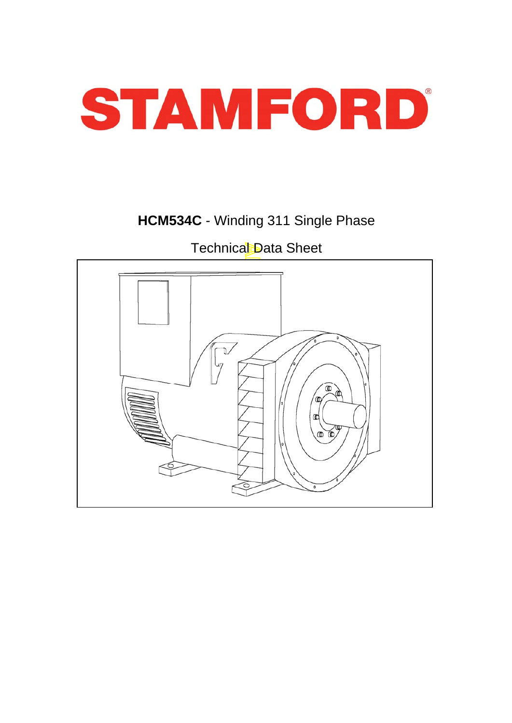

# **HCM534C** - Winding 311 Single Phase

# Technical Data Sheet

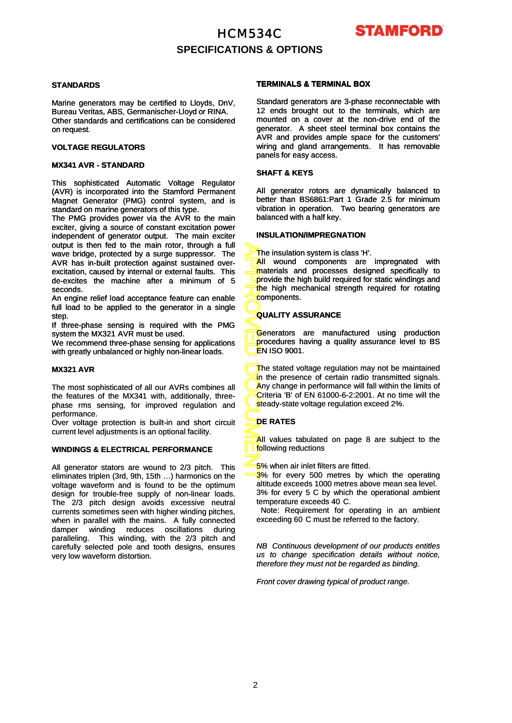### HCM534C **SPECIFICATIONS & OPTIONS**



#### **STANDARDS**

Marine generators may be certified to Lloyds, DnV, Bureau Veritas, ABS, Germanischer-Lloyd or RINA. Other standards and certifications can be considered on request.

#### **VOLTAGE REGULATORS**

#### **MX341 AVR - STANDARD**

This sophisticated Automatic Voltage Regulator (AVR) is incorporated into the Stamford Permanent Magnet Generator (PMG) control system, and is standard on marine generators of this type.

The PMG provides power via the AVR to the main exciter, giving a source of constant excitation power independent of generator output. The main exciter output is then fed to the main rotor, through a full wave bridge, protected by a surge suppressor. The AVR has in-built protection against sustained overexcitation, caused by internal or external faults. This de-excites the machine after a minimum of 5 seconds.

An engine relief load acceptance feature can enable full load to be applied to the generator in a single step.

If three-phase sensing is required with the PMG system the MX321 AVR must be used.

We recommend three-phase sensing for applications with greatly unbalanced or highly non -linear loads with greatly unbalanced or highly non-linear loads.

#### **MX321 AVR**

The most sophisticated of all our AVRs combines all the features of the MX341 with, additionally, threephase rms sensing, for improved regulation and performance.

Over voltage protection is built-in and short circuit current level adjustments is an optional facility.

#### **WINDINGS & ELECTRICAL PERFORMANCE**

All generator stators are wound to 2/3 pitch. This eliminates triplen (3rd, 9th, 15th …) harmonics on the voltage waveform and is found to be the optimum design for trouble-free supply of non-linear loads. The 2/3 pitch design avoids excessive neutral currents sometimes seen with higher winding pitches, when in parallel with the mains. A fully connected damper winding reduces oscillations during paralleling. This winding, with the 2/3 pitch and carefully selected pole and tooth designs, ensures very low waveform distortion.

#### **TERMINALS & TERMINAL BOX**

Standard generators are 3-phase reconnectable with 12 ends brought out to the terminals, which are mounted on a cover at the non-drive end of the generator. A sheet steel terminal box contains the AVR and provides ample space for the customers' wiring and gland arrangements. It has removable panels for easy access.

#### **SHAFT & KEYS**

All generator rotors are dynamically balanced to better than BS6861:Part 1 Grade 2.5 for minimum vibration in operation. Two bearing generators are balanced with a half key.

#### **INSULATION/IMPREGNATION**

The insulation system is class 'H'.

All wound components are impregnated with materials and processes designed specifically to provide the high build required for static windings and the high mechanical strength required for rotating components.

#### **QUALITY ASSURANCE**

Generators are manufactured using production procedures having a quality assurance level to BS <mark>Ë</mark>N ISO 9001.

APPROVED DOCUMENT The stated voltage regulation may not be maintained in the presence of certain radio transmitted signals. Any change in performance will fall within the limits of Criteria 'B' of EN 61000-6-2:2001. At no time will the steady-state voltage regulation exceed 2%.

#### **DE RATES**

All values tabulated on page 8 are subject to the following reductions

5% when air inlet filters are fitted.

3% for every 500 metres by which the operating altitude exceeds 1000 metres above mean sea level. 3% for every 5 C by which the operational ambient temperature exceeds 40 C.

Note: Requirement for operating in an ambient exceeding 60 C must be referred to the factory.

*NB Continuous development of our products entitles us to change specification details without notice, therefore they must not be regarded as binding.*

*Front cover drawing typical of product range.*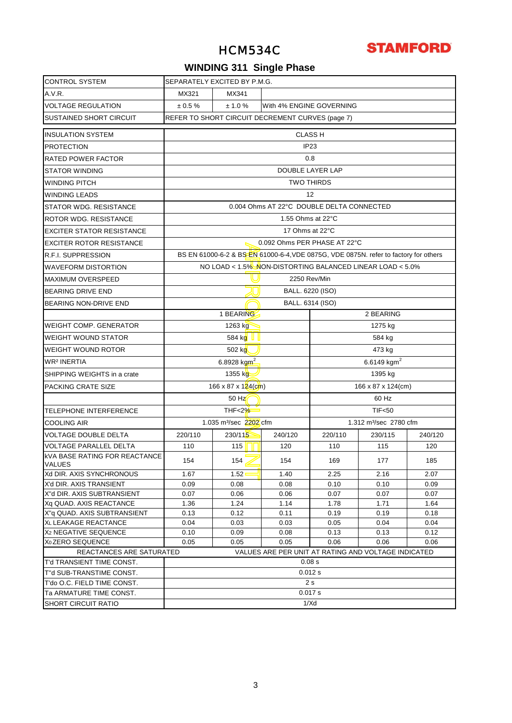

# **WINDING 311 Single Phase**

| <b>CONTROL SYSTEM</b>                                 | SEPARATELY EXCITED BY P.M.G.                              |                                    |                                                                                      |                          |                                    |         |  |  |  |  |  |  |
|-------------------------------------------------------|-----------------------------------------------------------|------------------------------------|--------------------------------------------------------------------------------------|--------------------------|------------------------------------|---------|--|--|--|--|--|--|
| A.V.R.                                                | MX321                                                     | MX341                              |                                                                                      |                          |                                    |         |  |  |  |  |  |  |
| <b>VOLTAGE REGULATION</b>                             | ± 0.5 %                                                   | ± 1.0%                             |                                                                                      | With 4% ENGINE GOVERNING |                                    |         |  |  |  |  |  |  |
| SUSTAINED SHORT CIRCUIT                               |                                                           |                                    | REFER TO SHORT CIRCUIT DECREMENT CURVES (page 7)                                     |                          |                                    |         |  |  |  |  |  |  |
| <b>INSULATION SYSTEM</b>                              |                                                           |                                    |                                                                                      | <b>CLASS H</b>           |                                    |         |  |  |  |  |  |  |
| <b>PROTECTION</b>                                     |                                                           |                                    |                                                                                      | IP <sub>23</sub>         |                                    |         |  |  |  |  |  |  |
| RATED POWER FACTOR                                    |                                                           | 0.8                                |                                                                                      |                          |                                    |         |  |  |  |  |  |  |
| <b>STATOR WINDING</b>                                 |                                                           |                                    |                                                                                      | DOUBLE LAYER LAP         |                                    |         |  |  |  |  |  |  |
| <b>WINDING PITCH</b>                                  |                                                           |                                    |                                                                                      | <b>TWO THIRDS</b>        |                                    |         |  |  |  |  |  |  |
| <b>WINDING LEADS</b>                                  |                                                           |                                    |                                                                                      | 12                       |                                    |         |  |  |  |  |  |  |
| STATOR WDG. RESISTANCE                                | 0.004 Ohms AT 22°C DOUBLE DELTA CONNECTED                 |                                    |                                                                                      |                          |                                    |         |  |  |  |  |  |  |
| ROTOR WDG. RESISTANCE                                 |                                                           |                                    | 1.55 Ohms at 22°C                                                                    |                          |                                    |         |  |  |  |  |  |  |
| <b>EXCITER STATOR RESISTANCE</b>                      |                                                           |                                    | 17 Ohms at 22°C                                                                      |                          |                                    |         |  |  |  |  |  |  |
| <b>EXCITER ROTOR RESISTANCE</b>                       |                                                           |                                    | 0.092 Ohms PER PHASE AT 22°C                                                         |                          |                                    |         |  |  |  |  |  |  |
| R.F.I. SUPPRESSION                                    |                                                           |                                    | BS EN 61000-6-2 & BS EN 61000-6-4, VDE 0875G, VDE 0875N. refer to factory for others |                          |                                    |         |  |  |  |  |  |  |
| <b>WAVEFORM DISTORTION</b>                            | NO LOAD < 1.5% NON-DISTORTING BALANCED LINEAR LOAD < 5.0% |                                    |                                                                                      |                          |                                    |         |  |  |  |  |  |  |
| <b>MAXIMUM OVERSPEED</b>                              | 2250 Rev/Min                                              |                                    |                                                                                      |                          |                                    |         |  |  |  |  |  |  |
| <b>BEARING DRIVE END</b>                              | BALL. 6220 (ISO)                                          |                                    |                                                                                      |                          |                                    |         |  |  |  |  |  |  |
| BEARING NON-DRIVE END                                 | BALL. 6314 (ISO)                                          |                                    |                                                                                      |                          |                                    |         |  |  |  |  |  |  |
|                                                       | 1 BEARING<br>2 BEARING                                    |                                    |                                                                                      |                          |                                    |         |  |  |  |  |  |  |
| <b>WEIGHT COMP. GENERATOR</b>                         | 1263 kg<br>1275 kg                                        |                                    |                                                                                      |                          |                                    |         |  |  |  |  |  |  |
| <b>WEIGHT WOUND STATOR</b>                            | 584 kg $ $<br>584 kg                                      |                                    |                                                                                      |                          |                                    |         |  |  |  |  |  |  |
| WEIGHT WOUND ROTOR                                    | 502 kg<br>473 kg                                          |                                    |                                                                                      |                          |                                    |         |  |  |  |  |  |  |
| WR <sup>2</sup> INERTIA                               |                                                           | 6.8928 $kgm^2$                     |                                                                                      |                          | 6.6149 $kgm2$                      |         |  |  |  |  |  |  |
|                                                       |                                                           |                                    |                                                                                      |                          |                                    |         |  |  |  |  |  |  |
| SHIPPING WEIGHTS in a crate                           |                                                           | 1355 kg                            |                                                                                      |                          | 1395 kg                            |         |  |  |  |  |  |  |
| PACKING CRATE SIZE                                    |                                                           | $166 \times 87 \times 124$ (cm)    |                                                                                      |                          | 166 x 87 x 124(cm)                 |         |  |  |  |  |  |  |
|                                                       |                                                           | 50 Hz                              |                                                                                      |                          | 60 Hz                              |         |  |  |  |  |  |  |
| TELEPHONE INTERFERENCE                                |                                                           | THF<2%                             |                                                                                      |                          | <b>TIF&lt;50</b>                   |         |  |  |  |  |  |  |
| <b>COOLING AIR</b>                                    |                                                           | 1.035 m <sup>3</sup> /sec 2202 cfm |                                                                                      |                          | 1.312 m <sup>3</sup> /sec 2780 cfm |         |  |  |  |  |  |  |
| <b>VOLTAGE DOUBLE DELTA</b>                           | 220/110                                                   | 230/115                            | 240/120                                                                              | 220/110                  | 230/115                            | 240/120 |  |  |  |  |  |  |
| <b>VOLTAGE PARALLEL DELTA</b>                         | 110                                                       | 115                                | 120                                                                                  | 110                      | 115                                | 120     |  |  |  |  |  |  |
| <b>KVA BASE RATING FOR REACTANCE</b><br><b>VALUES</b> | 154                                                       | 154                                | 154                                                                                  | 169                      | 177                                | 185     |  |  |  |  |  |  |
| Xd DIR. AXIS SYNCHRONOUS                              | 1.67                                                      | 1.52                               | 1.40                                                                                 | 2.25                     | 2.16                               | 2.07    |  |  |  |  |  |  |
| X'd DIR. AXIS TRANSIENT                               | 0.09                                                      | 0.08                               | 0.08                                                                                 | 0.10                     | 0.10                               | 0.09    |  |  |  |  |  |  |
| X"d DIR. AXIS SUBTRANSIENT                            | 0.07                                                      | 0.06                               | 0.06                                                                                 | 0.07                     | 0.07                               | 0.07    |  |  |  |  |  |  |
| Xg QUAD, AXIS REACTANCE                               | 1.36                                                      | 1.24                               | 1.14                                                                                 | 1.78                     | 1.71                               | 1.64    |  |  |  |  |  |  |
| X"q QUAD. AXIS SUBTRANSIENT                           | 0.13                                                      | 0.12                               | 0.11                                                                                 | 0.19                     | 0.19                               | 0.18    |  |  |  |  |  |  |
| XL LEAKAGE REACTANCE                                  | 0.04                                                      | 0.03                               | 0.03                                                                                 | 0.05                     | 0.04                               | 0.04    |  |  |  |  |  |  |
| X <sub>2</sub> NEGATIVE SEQUENCE                      | 0.10                                                      | 0.09                               | 0.08                                                                                 | 0.13                     | 0.13                               | 0.12    |  |  |  |  |  |  |
| X <sub>0</sub> ZERO SEQUENCE                          | 0.05                                                      | 0.05                               | 0.05                                                                                 | 0.06                     | 0.06                               | 0.06    |  |  |  |  |  |  |
| REACTANCES ARE SATURATED                              |                                                           |                                    | VALUES ARE PER UNIT AT RATING AND VOLTAGE INDICATED                                  |                          |                                    |         |  |  |  |  |  |  |
| T'd TRANSIENT TIME CONST.                             |                                                           |                                    |                                                                                      | 0.08 s                   |                                    |         |  |  |  |  |  |  |
| T"d SUB-TRANSTIME CONST.                              |                                                           |                                    |                                                                                      | 0.012 s                  |                                    |         |  |  |  |  |  |  |
| T'do O.C. FIELD TIME CONST.                           |                                                           |                                    |                                                                                      | 2 <sub>s</sub>           |                                    |         |  |  |  |  |  |  |
| Ta ARMATURE TIME CONST.                               |                                                           |                                    |                                                                                      | 0.017 s                  |                                    |         |  |  |  |  |  |  |
| <b>SHORT CIRCUIT RATIO</b>                            |                                                           |                                    |                                                                                      | 1/Xd                     |                                    |         |  |  |  |  |  |  |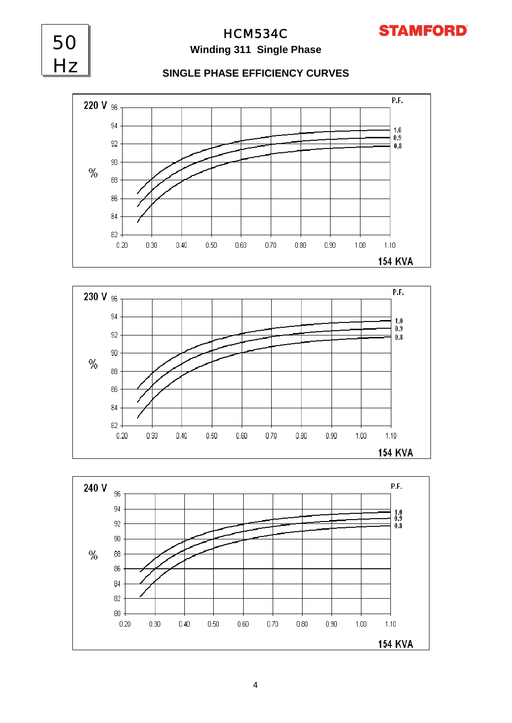

# HCM534C **Winding 311 Single Phase**

50

Hz

#### **SINGLE PHASE EFFICIENCY CURVES**





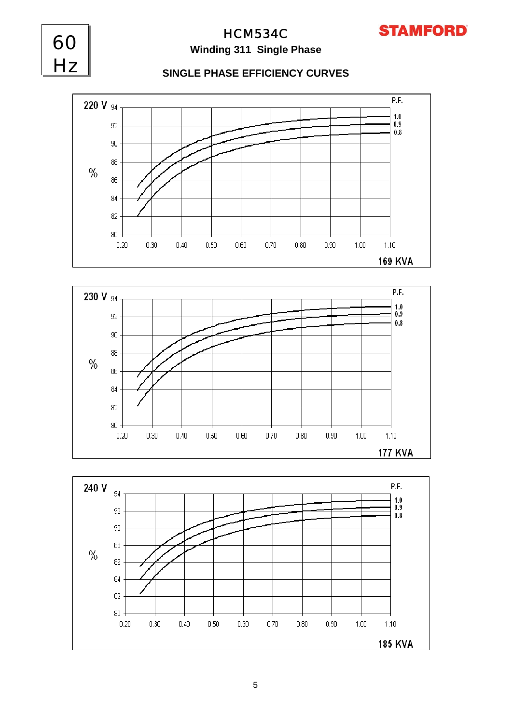

# HCM534C **Winding 311 Single Phase**

60

Hz

### **SINGLE PHASE EFFICIENCY CURVES**





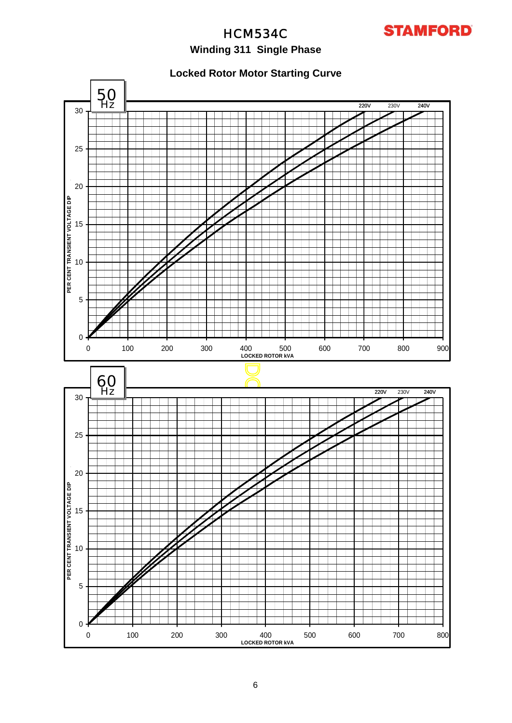

# **Winding 311 Single Phase**

**Locked Rotor Motor Starting Curve**

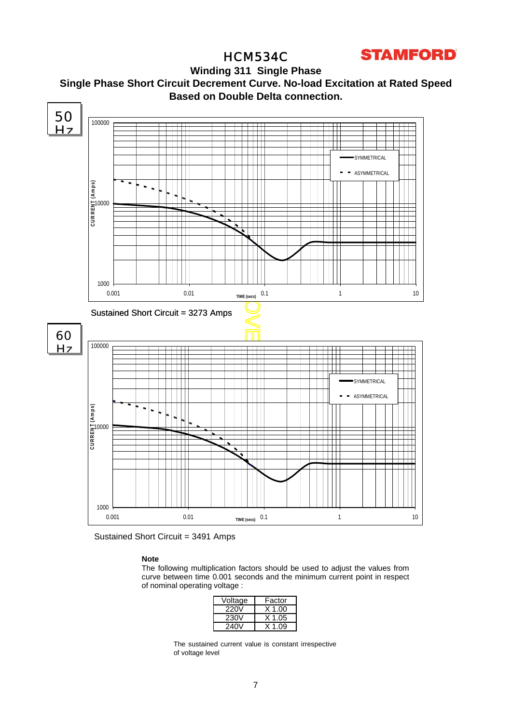

**Winding 311 Single Phase Single Phase Short Circuit Decrement Curve. No-load Excitation at Rated Speed Based on Double Delta connection.**



Sustained Short Circuit = 3491 Amps

#### **Note**

The following multiplication factors should be used to adjust the values from curve between time 0.001 seconds and the minimum current point in respect of nominal operating voltage :

| Voltage | Factor   |
|---------|----------|
| 220V    | $X$ 1.00 |
| 230V    | $X$ 1.05 |
| 240V    | X 1 09   |

The sustained current value is constant irrespective of voltage level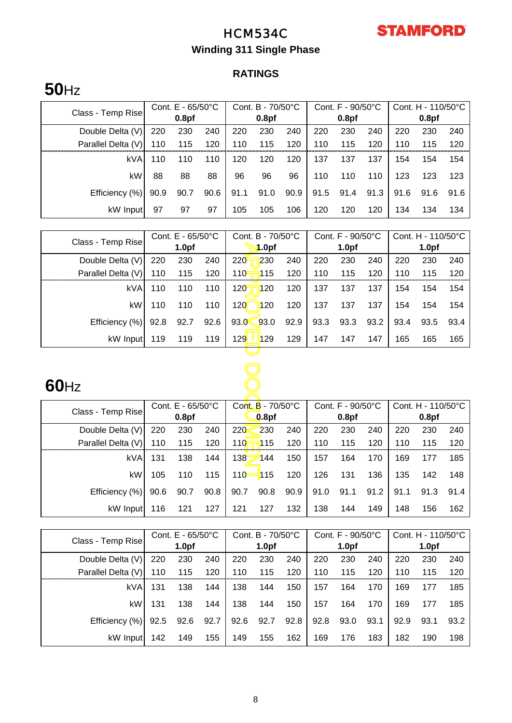

# **Winding 311 Single Phase**

# **RATINGS**

# **50**Hz

|                                        | Cont. $E - 65/50^{\circ}C$ |      |      | Cont. B - 70/50°C |      |      | Cont. F - 90/50°C |                   |      | Cont. $H - 110/50^{\circ}C$ |      |      |
|----------------------------------------|----------------------------|------|------|-------------------|------|------|-------------------|-------------------|------|-----------------------------|------|------|
| Class - Temp Rise<br>0.8 <sub>pf</sub> |                            |      |      | 0.8 <sub>pf</sub> |      |      |                   | 0.8 <sub>pf</sub> |      | 0.8 <sub>pf</sub>           |      |      |
| Double Delta (V)                       | 220                        | 230  | 240  | 220               | 230  | 240  | 220               | 230               | 240  | 220                         | 230  | 240  |
| Parallel Delta (V)                     | 110                        | 115  | 120  | 110               | 115  | 120  | 110               | 115               | 120  | 110                         | 115  | 120  |
| kVA                                    | 110                        | 110  | 110  | 120               | 120  | 120  | 137               | 137               | 137  | 154                         | 154  | 154  |
| kW                                     | 88                         | 88   | 88   | 96                | 96   | 96   | 110               | 110               | 110  | 123                         | 123  | 123  |
| Efficiency (%)                         | 90.9                       | 90.7 | 90.6 | 91.1              | 91.0 | 90.9 | 91.5              | 91.4              | 91.3 | 91.6                        | 91.6 | 91.6 |
| kW Input                               | 97                         | 97   | 97   | 105               | 105  | 106  | 120               | 120               | 120  | 134                         | 134  | 134  |

| Cont. E - 65/50°C  |      |                   | Cont. B - 70/50°C |                         | Cont. F - 90/50°C |                   | Cont. H - 110/50°C |                    |                   |                   |      |
|--------------------|------|-------------------|-------------------|-------------------------|-------------------|-------------------|--------------------|--------------------|-------------------|-------------------|------|
| Class - Temp Rise  |      | 1.0 <sub>pf</sub> |                   | 4.0 <sub>pf</sub>       |                   |                   |                    |                    |                   | 1.0 <sub>pf</sub> |      |
| Double Delta (V)   | 220  | 230               | 240               | 220<br>230              | 240               | 220               | 230                | 240                | 220               | 230               | 240  |
| Parallel Delta (V) | 110  | 115               | 120               | 110<br>115              | 120               | 110               | 115                | 120                | 110               | 115               | 120  |
| kVA                | 110  | 110               | 110               | 120<br>120              | 120               | 137               | 137                | 137                | 154               | 154               | 154  |
| kW                 | 110  | 110               | 110               | 120 <sub>0</sub><br>120 | 120               | 137               | 137                | 137                | 154               | 154               | 154  |
| Efficiency (%)     | 92.8 | 92.7              | 92.6              | 93.0<br>93.0            | 92.9              | 93.3              | 93.3               | 93.2               | 93.4              | 93.5              | 93.4 |
| kW Input           | 119  | 119               | 119               | 129<br><b>129</b>       | 129               | 147               | 147                | 147                | 165               | 165               | 165  |
|                    |      |                   |                   |                         |                   |                   |                    |                    |                   |                   |      |
|                    |      |                   |                   |                         |                   |                   |                    |                    |                   |                   |      |
| $60$ Hz            |      |                   |                   |                         |                   |                   |                    |                    |                   |                   |      |
|                    |      | Cont. E - 65/50°C |                   | Cont. B - 70/50°C       |                   | Cont. F - 90/50°C |                    | Cont. H - 110/50°C |                   |                   |      |
| Class - Temp Rise  |      | 0.8 <sub>pf</sub> |                   | 0.8pf                   |                   |                   | 0.8 <sub>pf</sub>  |                    | 0.8 <sub>pf</sub> |                   |      |
| Double Delta (V)   | 220  | 230               | 240               | 220<br>230              | 240               | 220               | 230                | 240                | 220               | 230               | 240  |
| Parallel Delta (V) | 110  | 115               | 120               | 115<br>110              | 120               | 110               | 115                | 120                | 110               | 115               | 120  |
| kVA                | 131  | 138               | 144               | 138<br>144              | 150               | 157               | 164                | 170                | 169               | 177               | 185  |
| kW                 | 105  | 110               | 115               | 110<br>1115             | 120               | 126               | 131                | 136                | 135               | 142               | 148  |

# **60**Hz

|                    | Cont. $E - 65/50^{\circ}C$ |      |       | Cont. B - 70/50°C |      |      | Cont. F - 90/50°C |      |                   | Cont. $H - 110/50^{\circ}C$ |      |      |
|--------------------|----------------------------|------|-------|-------------------|------|------|-------------------|------|-------------------|-----------------------------|------|------|
| Class - Temp Rise  | 0.8 <sub>pf</sub>          |      | 0.8pf |                   |      |      | 0.8 <sub>pf</sub> |      | 0.8 <sub>pf</sub> |                             |      |      |
| Double Delta (V)   | 220                        | 230  | 240   | 220               | 230  | 240  | 220               | 230  | 240               | 220                         | 230  | 240  |
| Parallel Delta (V) | 110                        | 115  | 120   | 110               | 115  | 120  | 110               | 115  | 120               | 110                         | 115  | 120  |
| <b>kVA</b>         | 131                        | 138  | 144   | 138               | 144  | 150  | 157               | 164  | 170               | 169                         | 177  | 185  |
| kW                 | 105                        | 110  | 115   | 110               | 115  | 120  | 126               | 131  | 136               | 135                         | 142  | 148  |
| Efficiency (%)     | 90.6                       | 90.7 | 90.8  | 90.7              | 90.8 | 90.9 | 91.0              | 91.1 | 91.2              | 91.1                        | 91.3 | 91.4 |
| kW Input           | 116                        | 121  | 127   | 121               | 127  | 132  | 138               | 144  | 149               | 148                         | 156  | 162  |

|                    | Cont. $E - 65/50^{\circ}C$ |                   |      | Cont. $B - 70/50^{\circ}C$ |                   |      | Cont. $F - 90/50^{\circ}C$ |                   |      | Cont. $H - 110/50^{\circ}C$ |                   |      |
|--------------------|----------------------------|-------------------|------|----------------------------|-------------------|------|----------------------------|-------------------|------|-----------------------------|-------------------|------|
| Class - Temp Rise  |                            | 1.0 <sub>pf</sub> |      |                            | 1.0 <sub>pf</sub> |      |                            | 1.0 <sub>pf</sub> |      |                             | 1.0 <sub>pf</sub> |      |
| Double Delta (V)   | 220                        | 230               | 240  | 220                        | 230               | 240  | 220                        | 230               | 240  | 220                         | 230               | 240  |
| Parallel Delta (V) | 110                        | 115               | 120  | 110                        | 115               | 120  | 110                        | 115               | 120  | 110                         | 115               | 120  |
| kVA                | 131                        | 138               | 144  | 138                        | 144               | 150  | 157                        | 164               | 170  | 169                         | 177               | 185  |
| kW                 | 131                        | 138               | 144  | 138                        | 144               | 150  | 157                        | 164               | 170  | 169                         | 177               | 185  |
| Efficiency (%)     | 92.5                       | 92.6              | 92.7 | 92.6                       | 92.7              | 92.8 | 92.8                       | 93.0              | 93.1 | 92.9                        | 93.1              | 93.2 |
| kW Input           | 142                        | 149               | 155  | 149                        | 155               | 162  | 169                        | 176               | 183  | 182                         | 190               | 198  |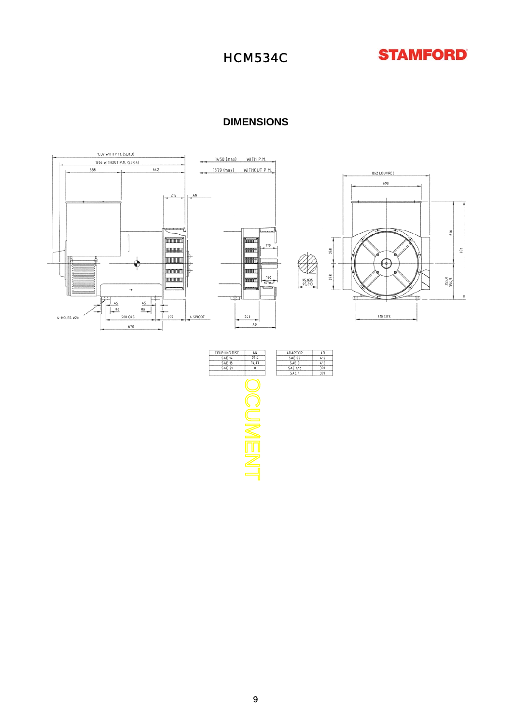

#### **DIMENSIONS**